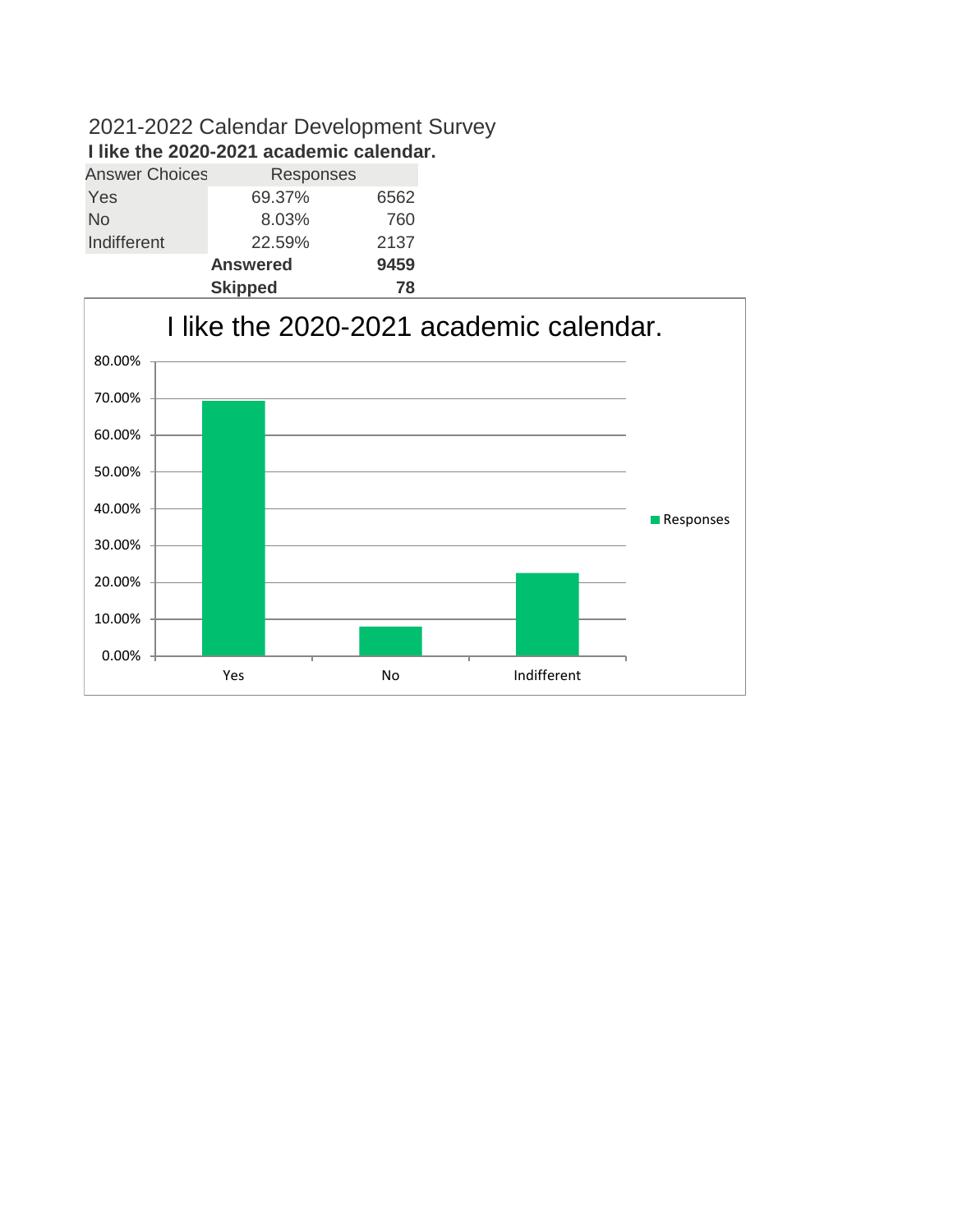### 2021-2022 Calendar Development Survey **I like the 2020-2021 academic calendar.**

| <b>Answer Choices</b> | Responses       |      |
|-----------------------|-----------------|------|
| Yes                   | 69.37%          | 6562 |
| No                    | 8.03%           | 760  |
| Indifferent           | 22.59%          | 2137 |
|                       | <b>Answered</b> | 9459 |
|                       | <b>Skipped</b>  | 78   |

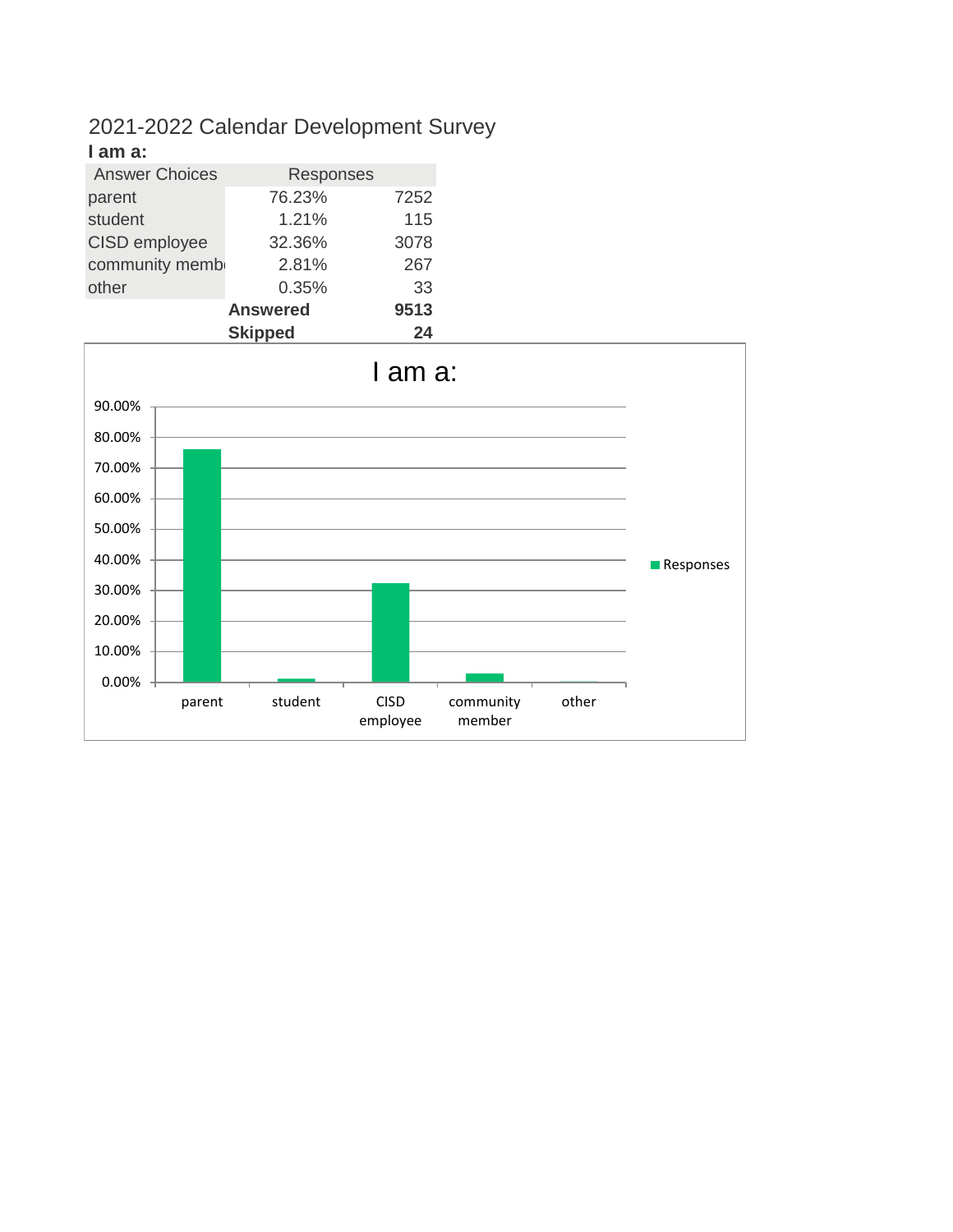#### 2021-2022 Calendar Development Survey **I am a:**

| ı allı a.             |                 |      |
|-----------------------|-----------------|------|
| <b>Answer Choices</b> | Responses       |      |
| parent                | 76.23%          | 7252 |
| student               | 1.21%           | 115  |
| CISD employee         | 32.36%          | 3078 |
| community memb        | 2.81%           | 267  |
| other                 | 0.35%           | 33   |
|                       | <b>Answered</b> | 9513 |
|                       | Skinned         | 24   |

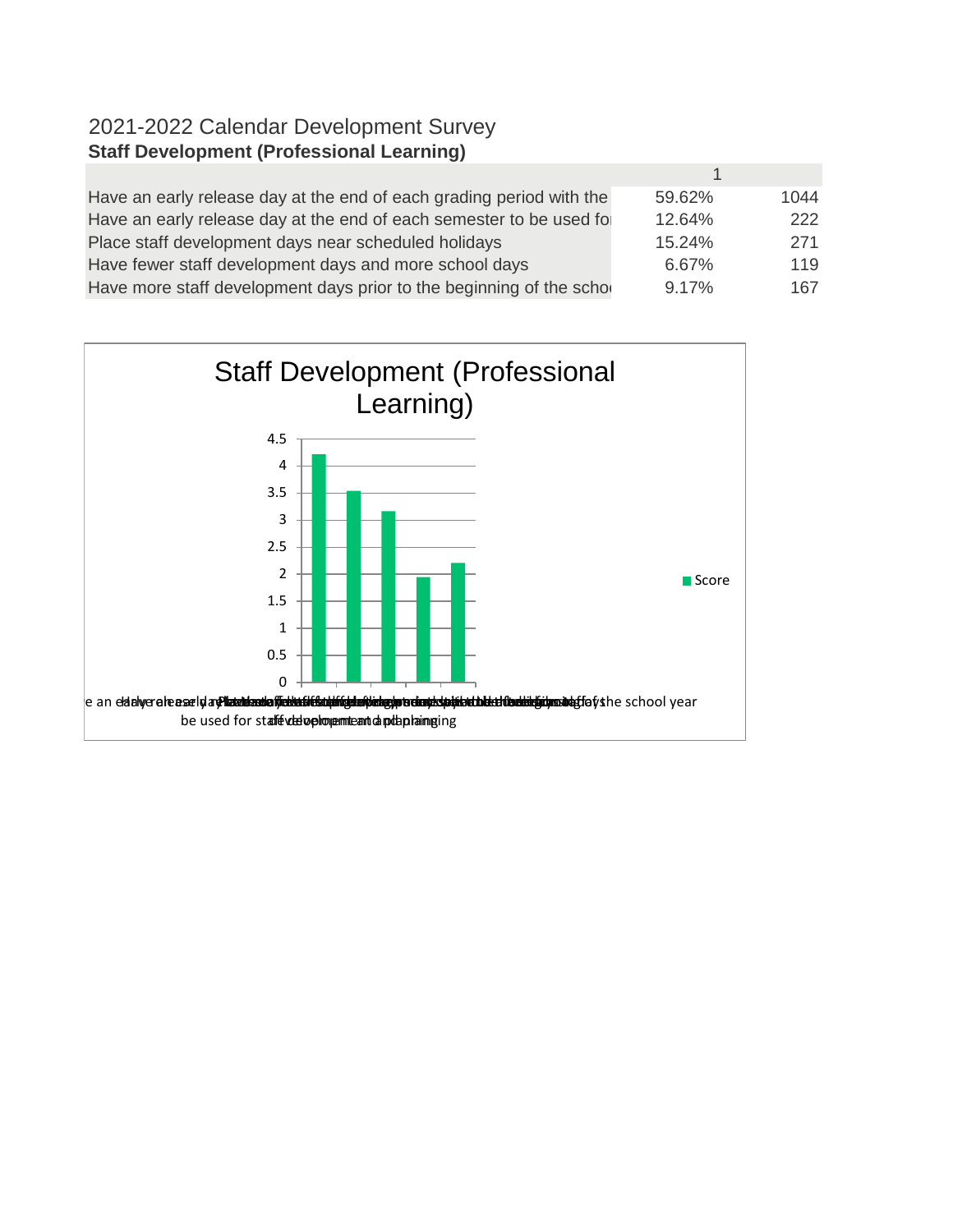## 2021-2022 Calendar Development Survey **Staff Development (Professional Learning)**

| Have an early release day at the end of each grading period with the | 59.62%   | 1044 |
|----------------------------------------------------------------------|----------|------|
| Have an early release day at the end of each semester to be used for | 12.64%   | 222  |
| Place staff development days near scheduled holidays                 | 15.24%   | 271  |
| Have fewer staff development days and more school days               | 6.67%    | 119  |
| Have more staff development days prior to the beginning of the schol | $9.17\%$ | 167  |

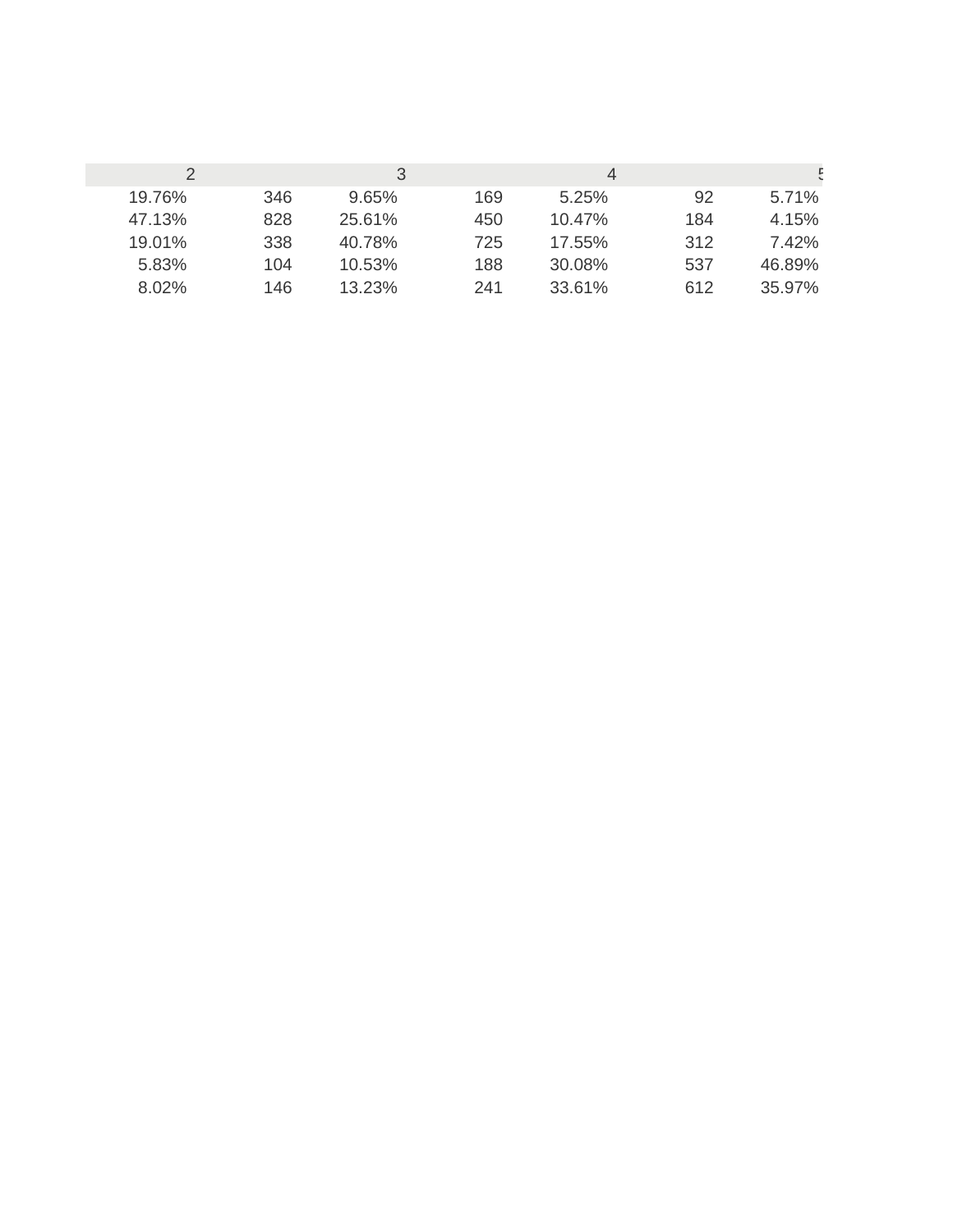|        |     | 3      |     | 4         |     |        |
|--------|-----|--------|-----|-----------|-----|--------|
| 19.76% | 346 | 9.65%  | 169 | 5.25%     | 92  | 5.71%  |
| 47.13% | 828 | 25.61% | 450 | $10.47\%$ | 184 | 4.15%  |
| 19.01% | 338 | 40.78% | 725 | 17.55%    | 312 | 7.42%  |
| 5.83%  | 104 | 10.53% | 188 | 30.08%    | 537 | 46.89% |
| 8.02%  | 146 | 13.23% | 241 | 33.61%    | 612 | 35.97% |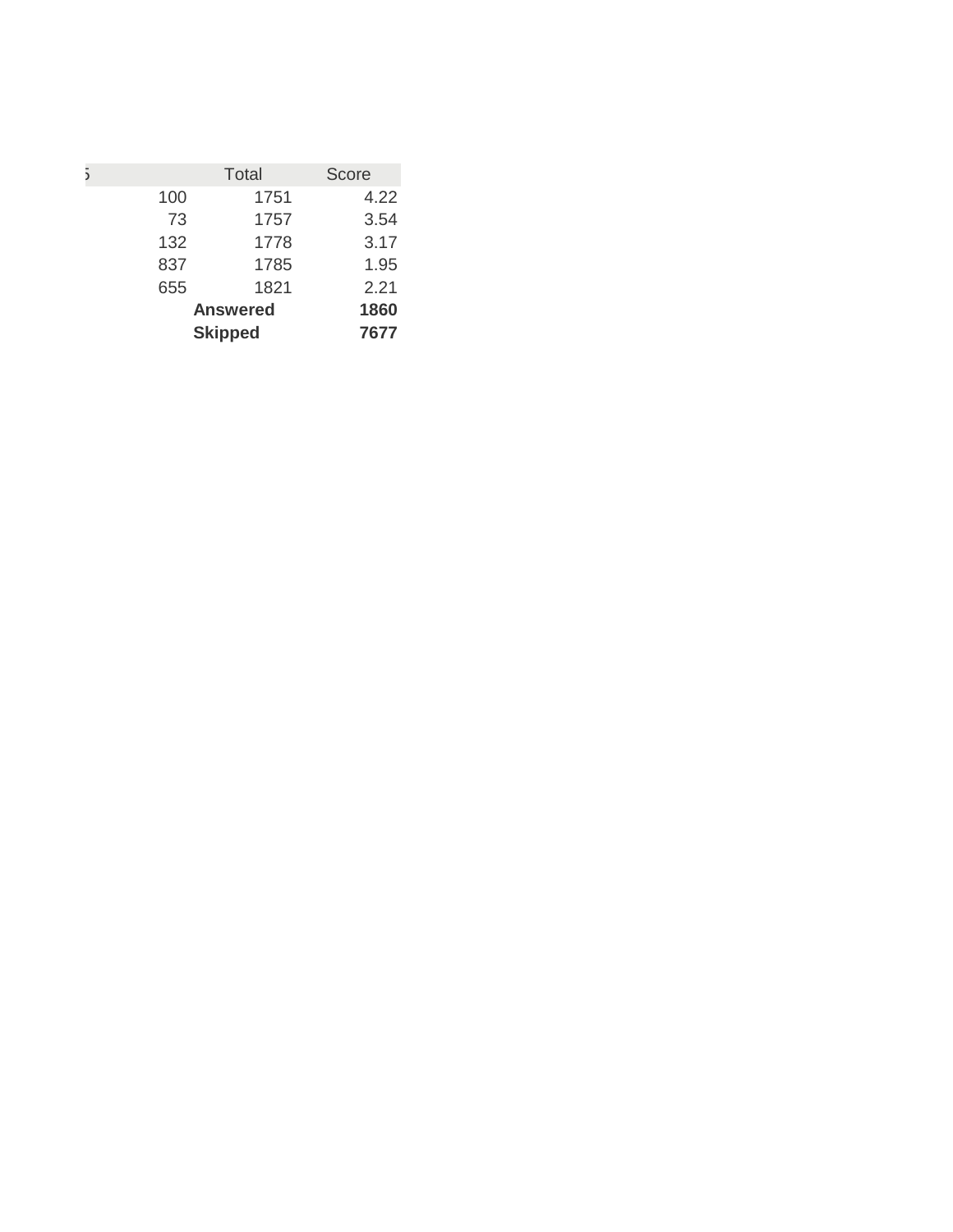|     | <b>Total</b>    | Score |
|-----|-----------------|-------|
| 100 | 1751            | 4.22  |
| 73  | 1757            | 3.54  |
| 132 | 1778            | 3.17  |
| 837 | 1785            | 1.95  |
| 655 | 1821            | 2.21  |
|     | <b>Answered</b> | 1860  |
|     | 7677            |       |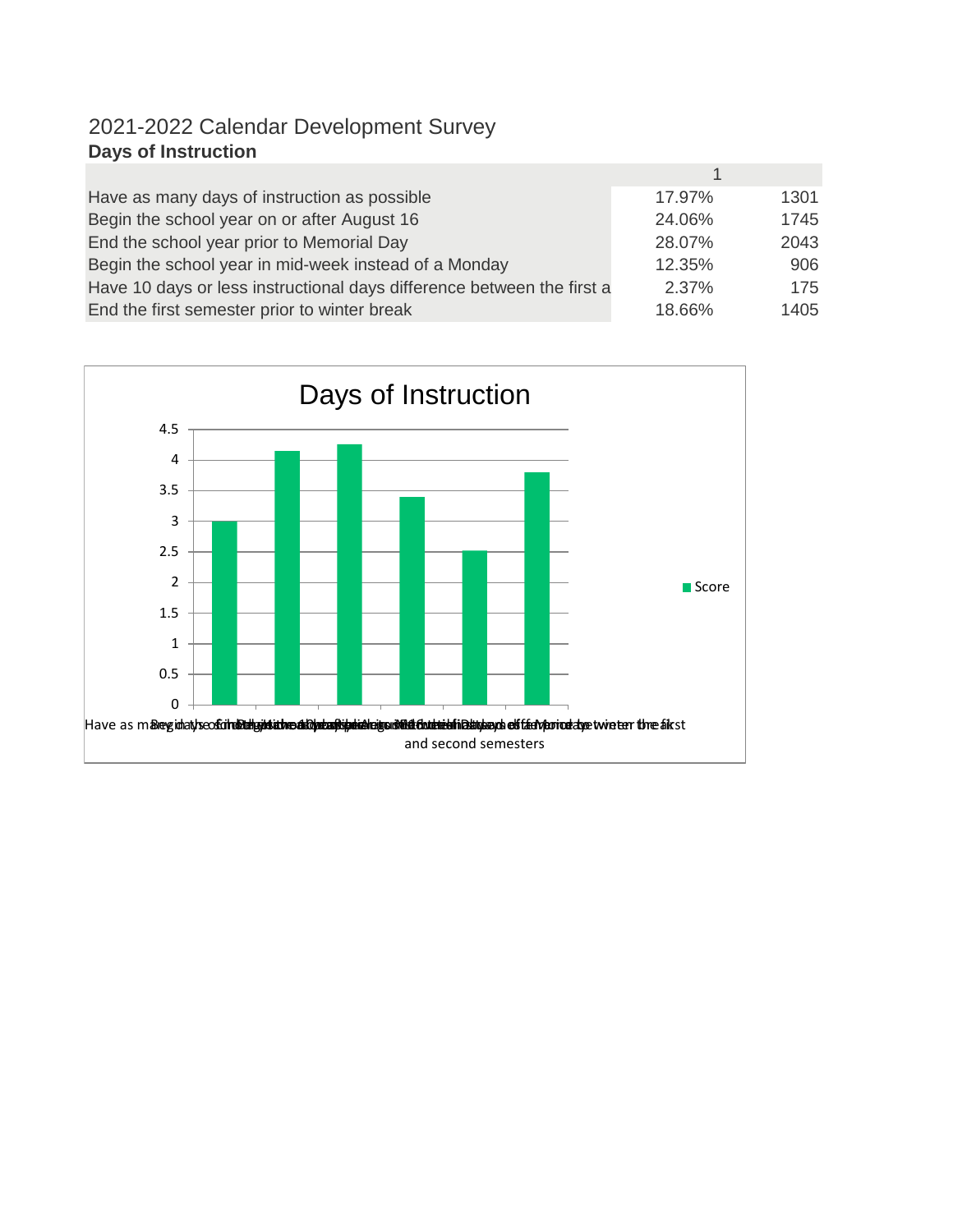## 2021-2022 Calendar Development Survey **Days of Instruction**

| Have as many days of instruction as possible                           | 17.97% | 1301 |
|------------------------------------------------------------------------|--------|------|
| Begin the school year on or after August 16                            | 24.06% | 1745 |
| End the school year prior to Memorial Day                              | 28.07% | 2043 |
| Begin the school year in mid-week instead of a Monday                  | 12.35% | 906  |
| Have 10 days or less instructional days difference between the first a | 2.37%  | 175  |
| End the first semester prior to winter break                           | 18.66% | 1405 |

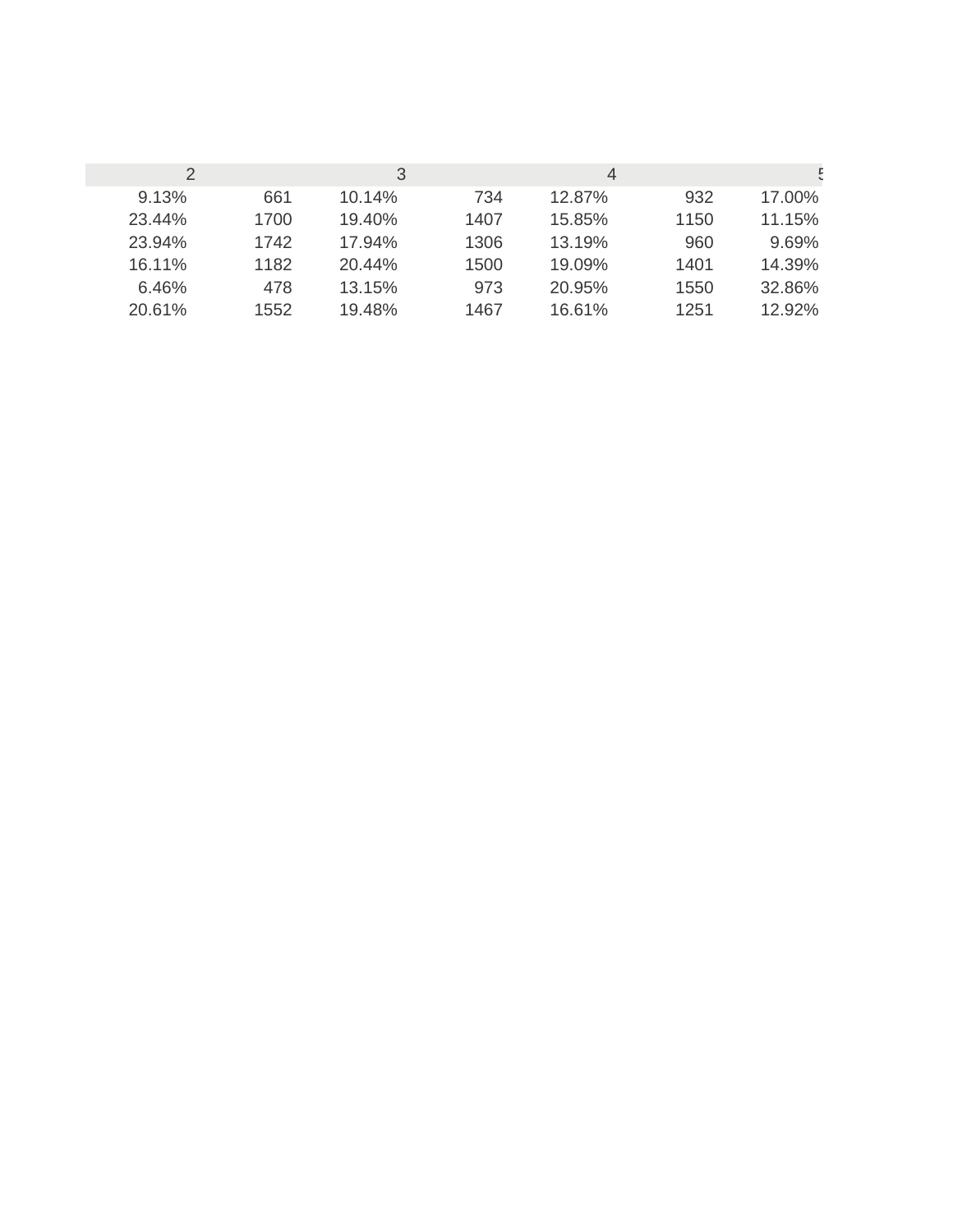|        |      | 3      |      | 4      |      |        |
|--------|------|--------|------|--------|------|--------|
| 9.13%  | 661  | 10.14% | 734  | 12.87% | 932  | 17.00% |
| 23.44% | 1700 | 19.40% | 1407 | 15.85% | 1150 | 11.15% |
| 23.94% | 1742 | 17.94% | 1306 | 13.19% | 960  | 9.69%  |
| 16.11% | 1182 | 20.44% | 1500 | 19.09% | 1401 | 14.39% |
| 6.46%  | 478  | 13.15% | 973  | 20.95% | 1550 | 32.86% |
| 20.61% | 1552 | 19.48% | 1467 | 16.61% | 1251 | 12.92% |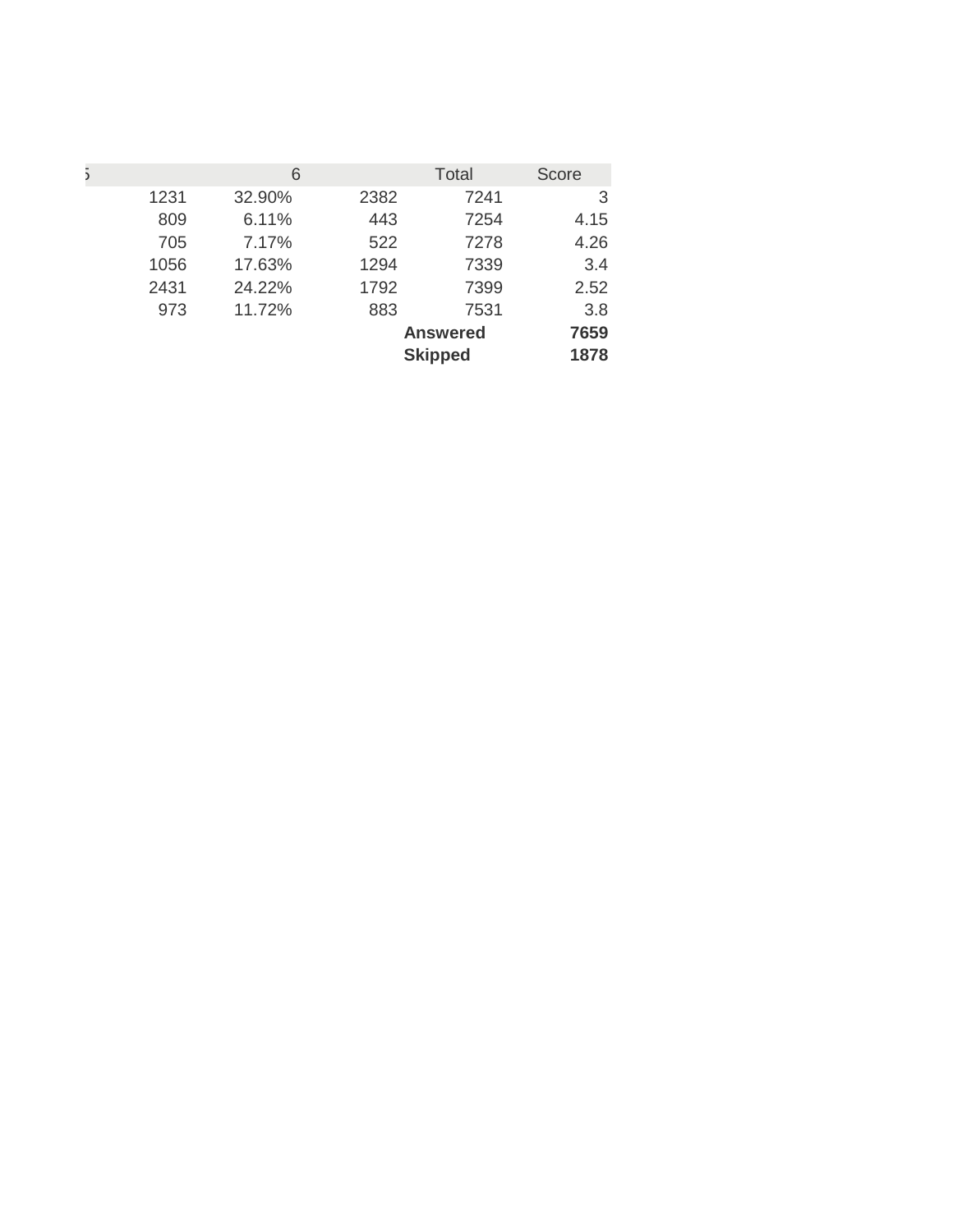| 5 |      | 6      |      | <b>Total</b>    | Score |
|---|------|--------|------|-----------------|-------|
|   | 1231 | 32.90% | 2382 | 7241            | 3     |
|   | 809  | 6.11%  | 443  | 7254            | 4.15  |
|   | 705  | 7.17%  | 522  | 7278            | 4.26  |
|   | 1056 | 17.63% | 1294 | 7339            | 3.4   |
|   | 2431 | 24.22% | 1792 | 7399            | 2.52  |
|   | 973  | 11.72% | 883  | 7531            | 3.8   |
|   |      |        |      | <b>Answered</b> | 7659  |
|   |      |        |      | <b>Skipped</b>  | 1878  |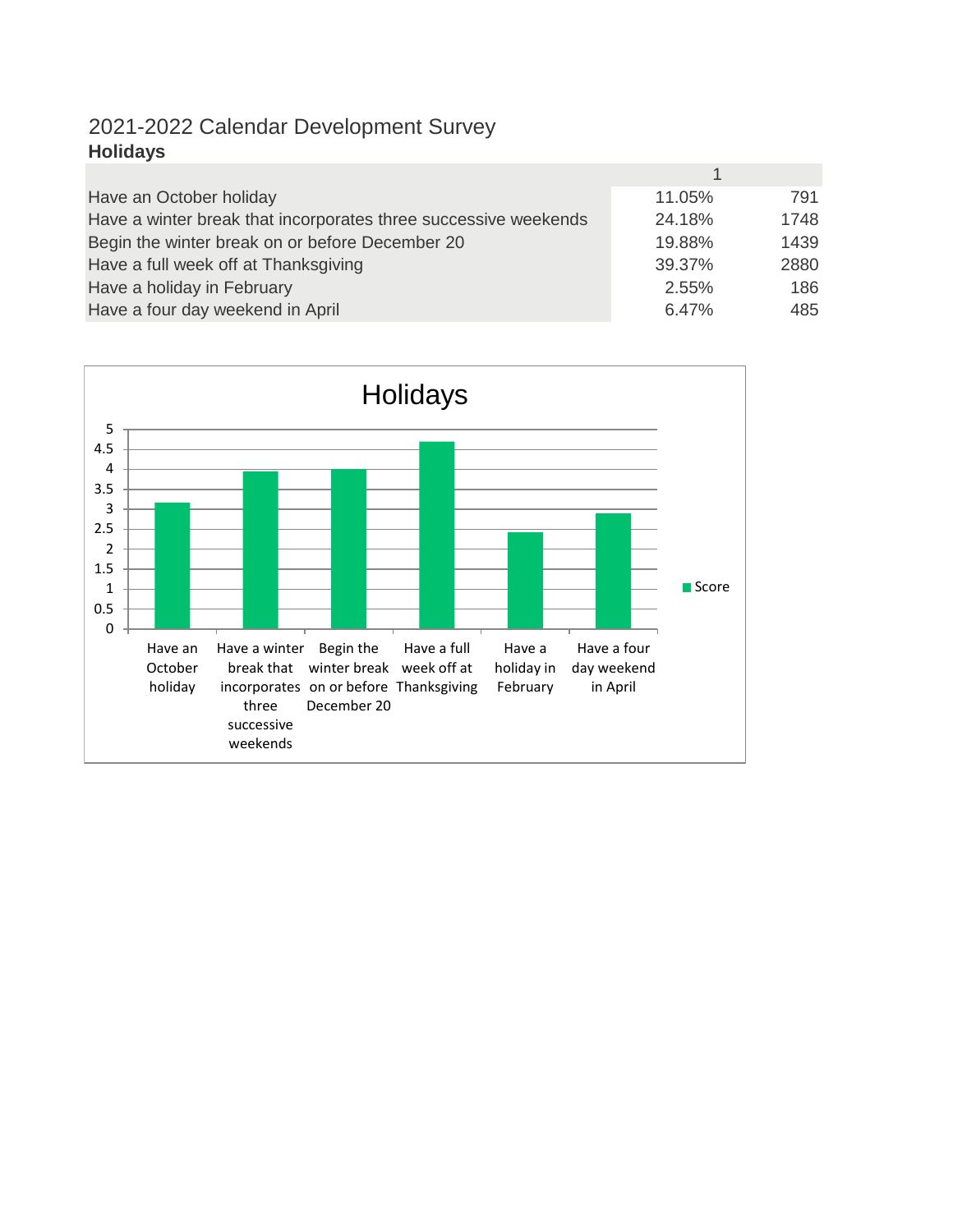## 2021-2022 Calendar Development Survey **Holidays**

| Have an October holiday                                         | 11.05% | 791  |
|-----------------------------------------------------------------|--------|------|
| Have a winter break that incorporates three successive weekends | 24.18% | 1748 |
| Begin the winter break on or before December 20                 | 19.88% | 1439 |
| Have a full week off at Thanksgiving                            | 39.37% | 2880 |
| Have a holiday in February                                      | 2.55%  | 186  |
| Have a four day weekend in April                                | 6.47%  | 485  |

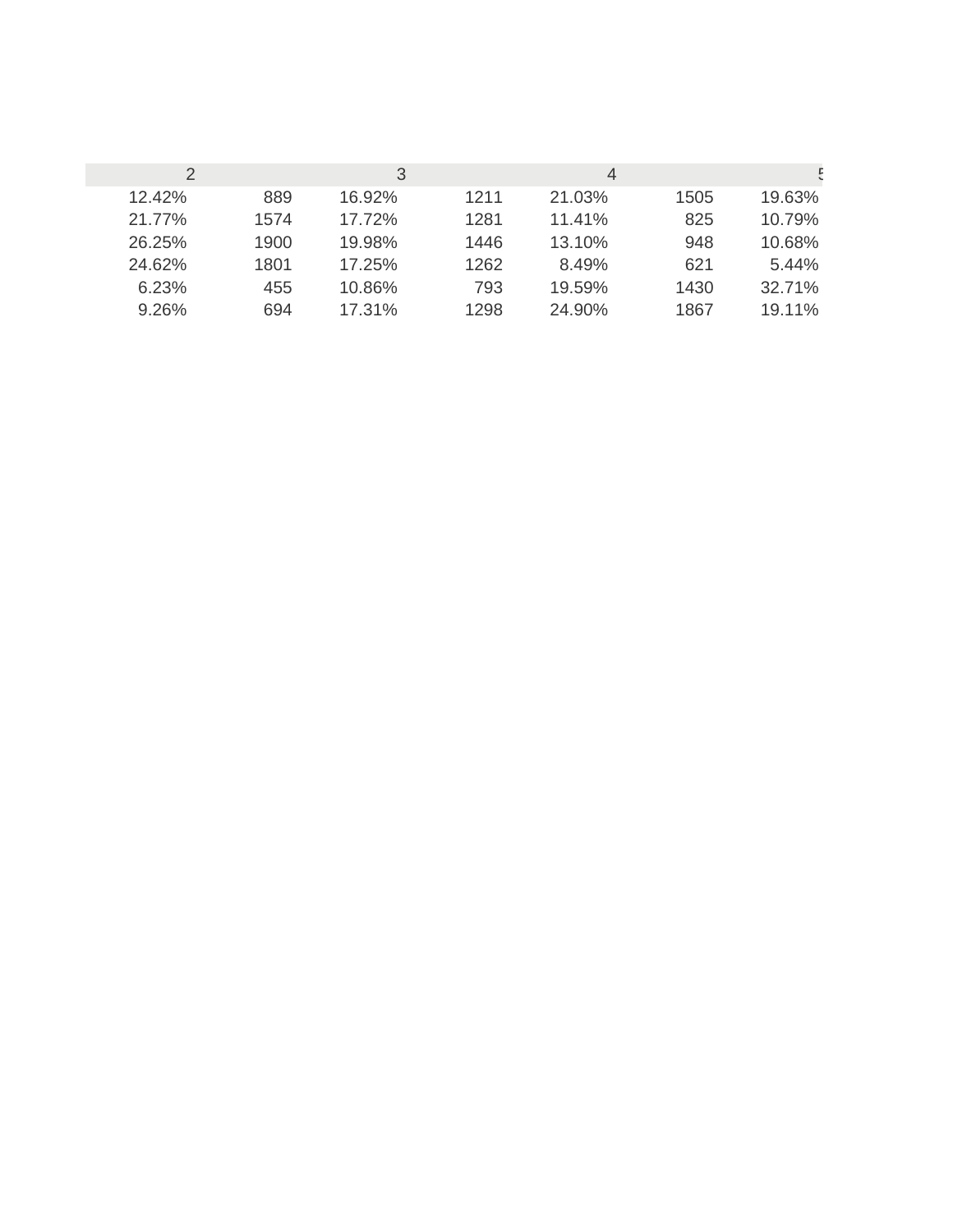|        |      | 3      |      | 4         |      |        |
|--------|------|--------|------|-----------|------|--------|
| 12.42% | 889  | 16.92% | 1211 | 21.03%    | 1505 | 19.63% |
| 21.77% | 1574 | 17.72% | 1281 | $11.41\%$ | 825  | 10.79% |
| 26.25% | 1900 | 19.98% | 1446 | 13.10%    | 948  | 10.68% |
| 24.62% | 1801 | 17.25% | 1262 | 8.49%     | 621  | 5.44%  |
| 6.23%  | 455  | 10.86% | 793  | 19.59%    | 1430 | 32.71% |
| 9.26%  | 694  | 17.31% | 1298 | 24.90%    | 1867 | 19.11% |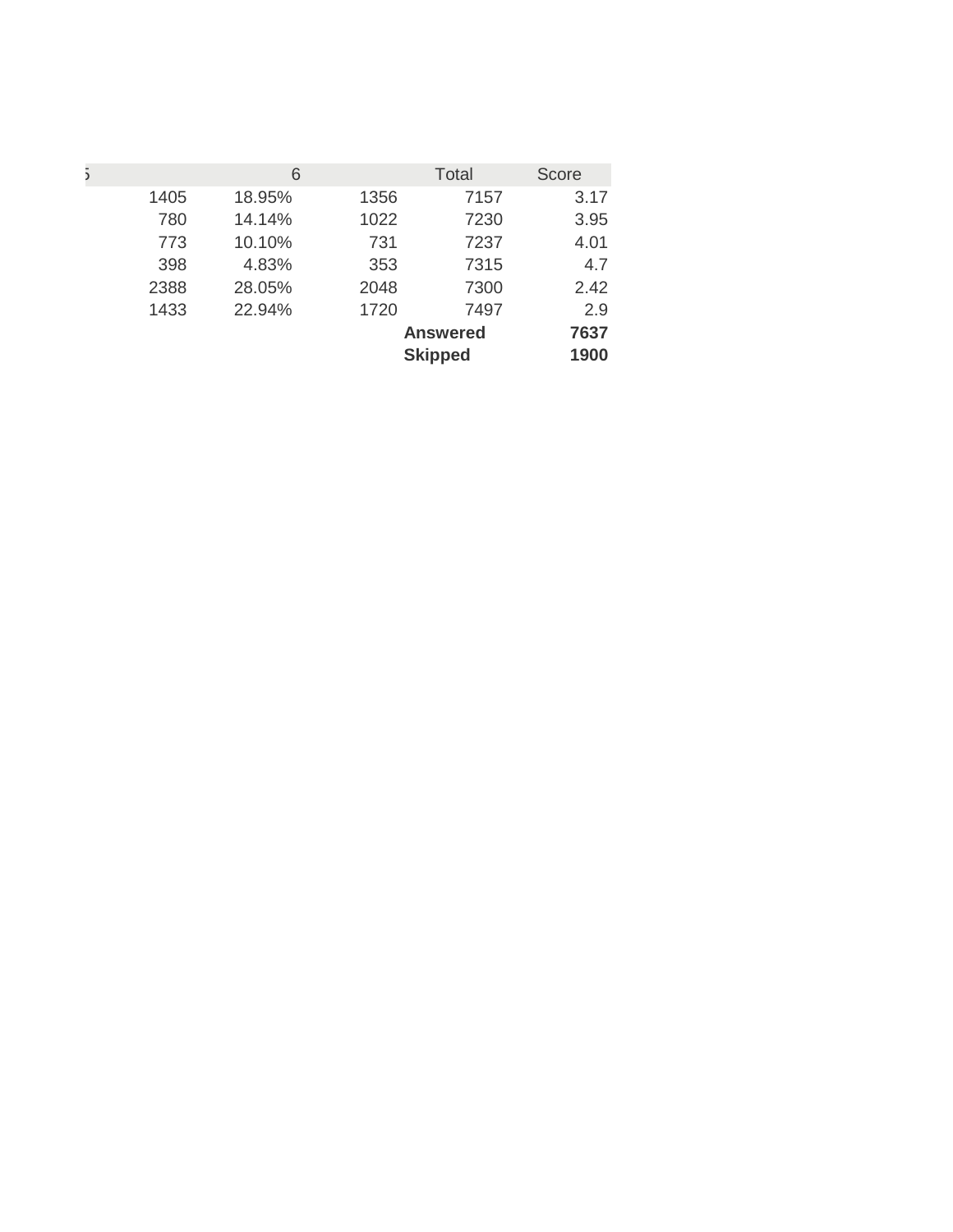| 5 |      | 6      |      | <b>Total</b>    | <b>Score</b> |
|---|------|--------|------|-----------------|--------------|
|   | 1405 | 18.95% | 1356 | 7157            | 3.17         |
|   | 780  | 14.14% | 1022 | 7230            | 3.95         |
|   | 773  | 10.10% | 731  | 7237            | 4.01         |
|   | 398  | 4.83%  | 353  | 7315            | 4.7          |
|   | 2388 | 28.05% | 2048 | 7300            | 2.42         |
|   | 1433 | 22.94% | 1720 | 7497            | 2.9          |
|   |      |        |      | <b>Answered</b> | 7637         |
|   |      |        |      | <b>Skipped</b>  | 1900         |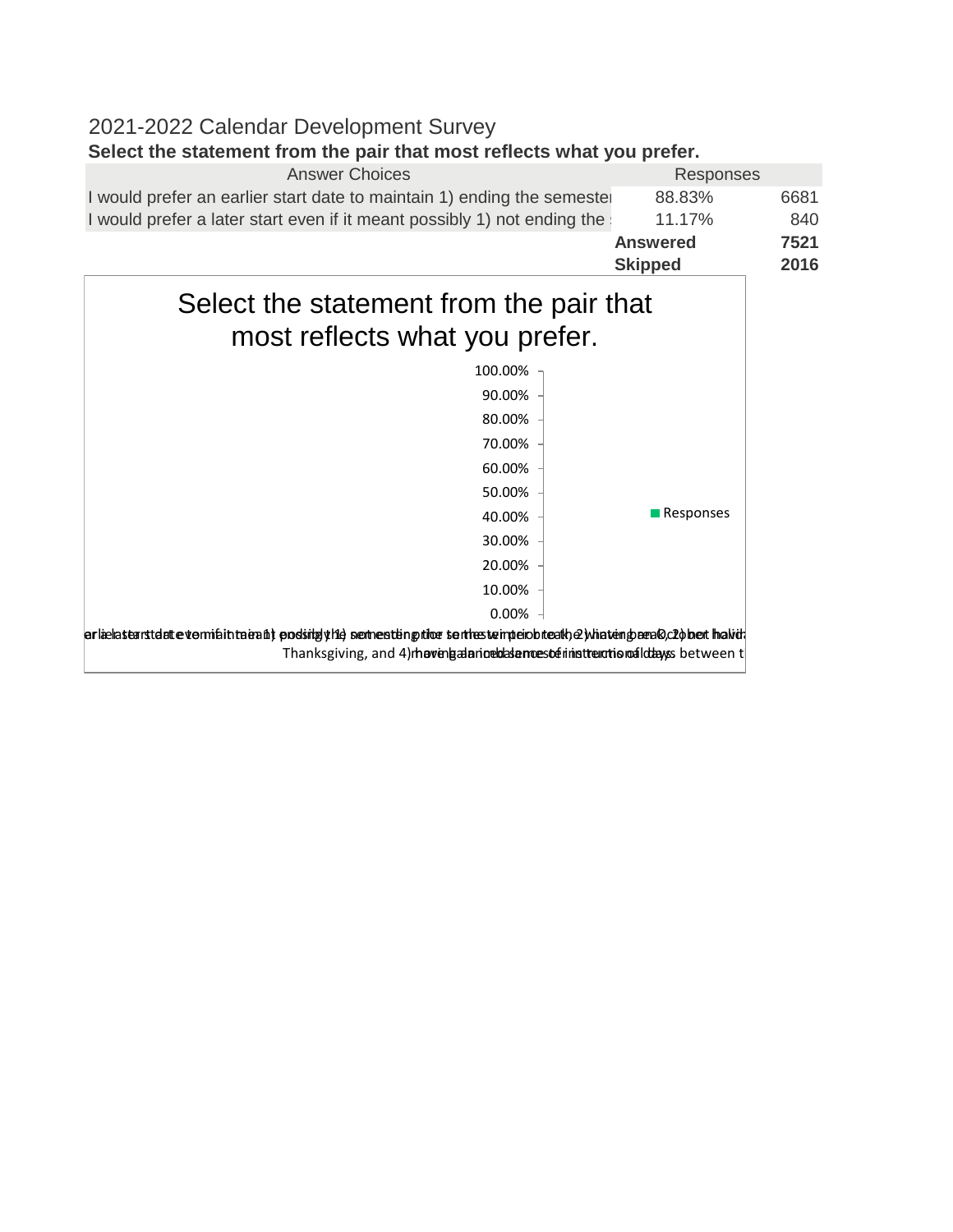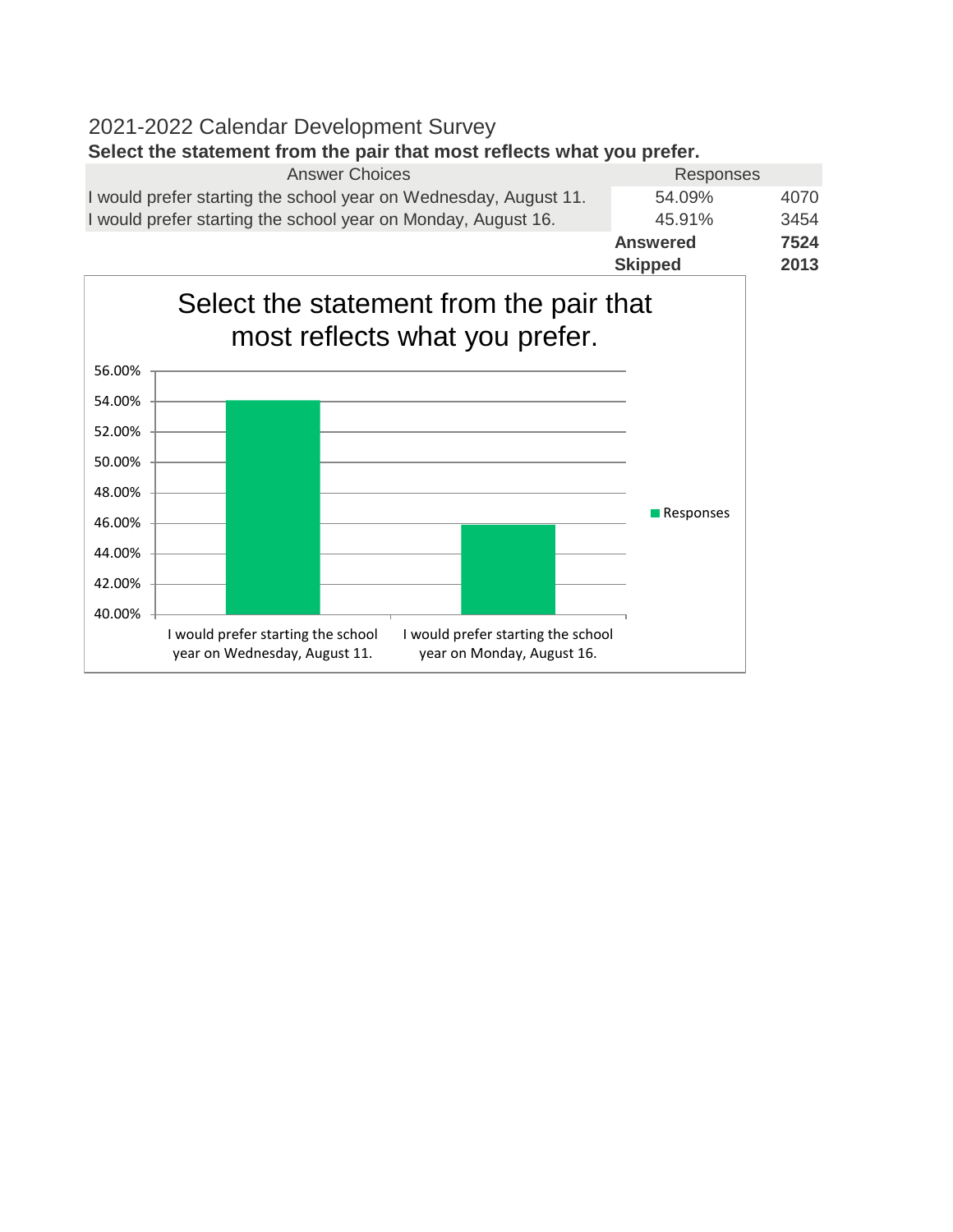# 2021-2022 Calendar Development Survey **Select the statement from the pair that most reflects what you prefer.**

| <b>Answer Choices</b>                                            | Responses       |      |
|------------------------------------------------------------------|-----------------|------|
| I would prefer starting the school year on Wednesday, August 11. | 54.09%          | 4070 |
| I would prefer starting the school year on Monday, August 16.    | 45.91%          | 3454 |
|                                                                  | <b>Answered</b> | 7524 |
|                                                                  | <b>Skipped</b>  | 2013 |

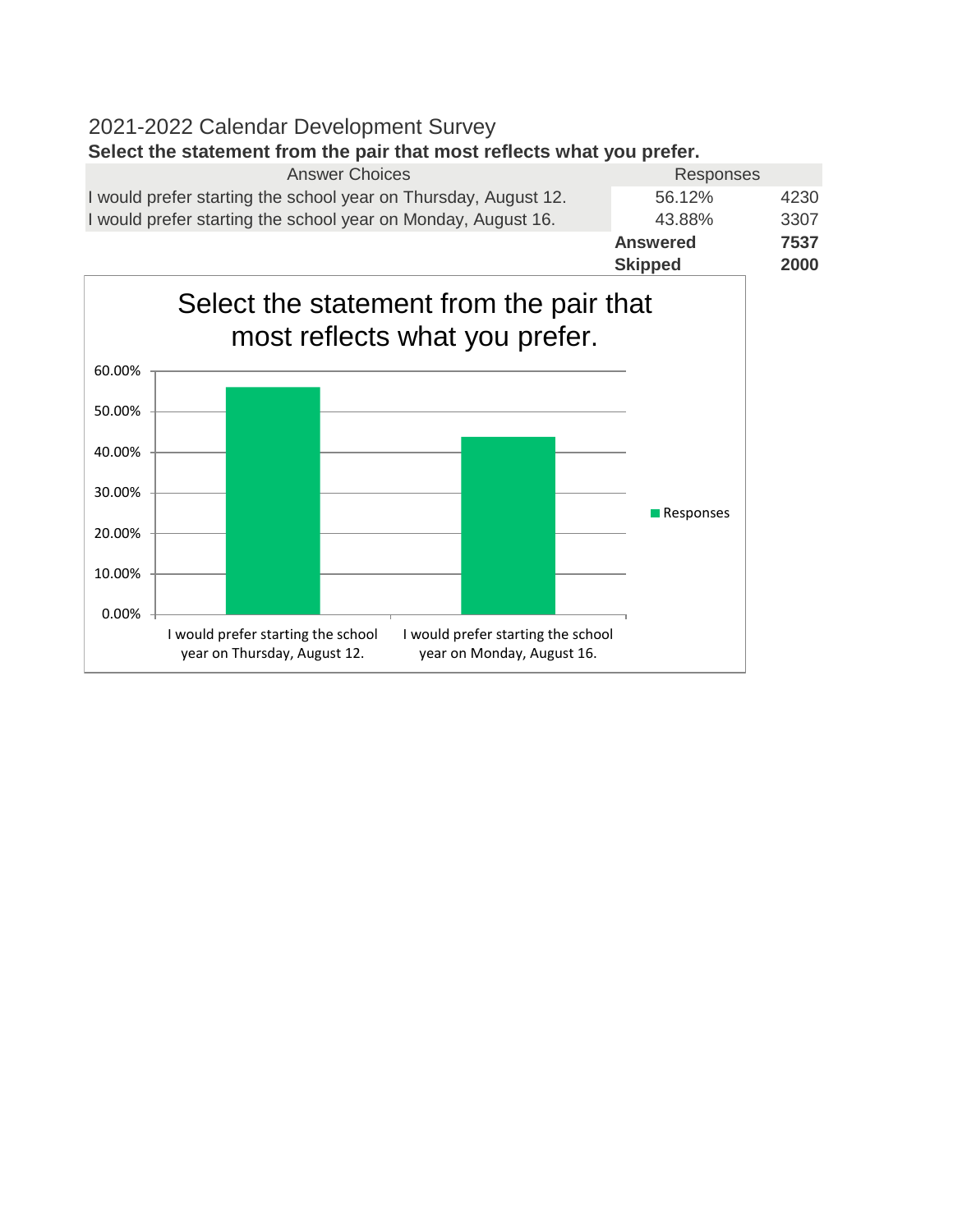## 2021-2022 Calendar Development Survey **Select the statement from the pair that most reflects what you prefer.**

|                                                                 | <b>Skipped</b>  | 2000 |
|-----------------------------------------------------------------|-----------------|------|
|                                                                 | <b>Answered</b> | 7537 |
| I would prefer starting the school year on Monday, August 16.   | 43.88%          | 3307 |
| I would prefer starting the school year on Thursday, August 12. | 56.12%          | 4230 |
| <b>Answer Choices</b>                                           | Responses       |      |

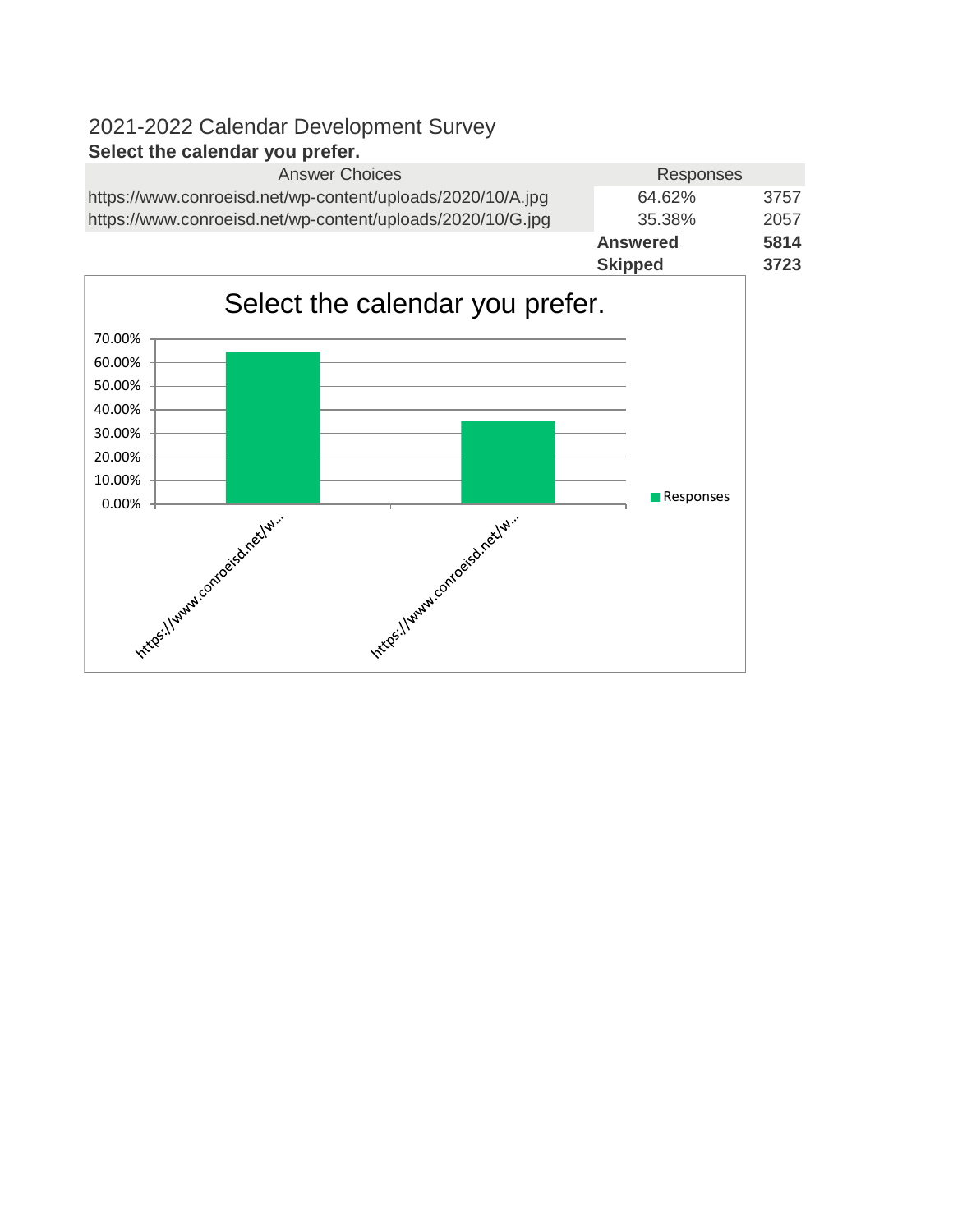|                                                            | <b>Skipped</b>  | 3723 |
|------------------------------------------------------------|-----------------|------|
|                                                            | <b>Answered</b> | 5814 |
| https://www.conroeisd.net/wp-content/uploads/2020/10/G.jpg | 35.38%          | 2057 |
| https://www.conroeisd.net/wp-content/uploads/2020/10/A.jpg | 64.62%          | 3757 |
| <b>Answer Choices</b>                                      | Responses       |      |
|                                                            |                 |      |

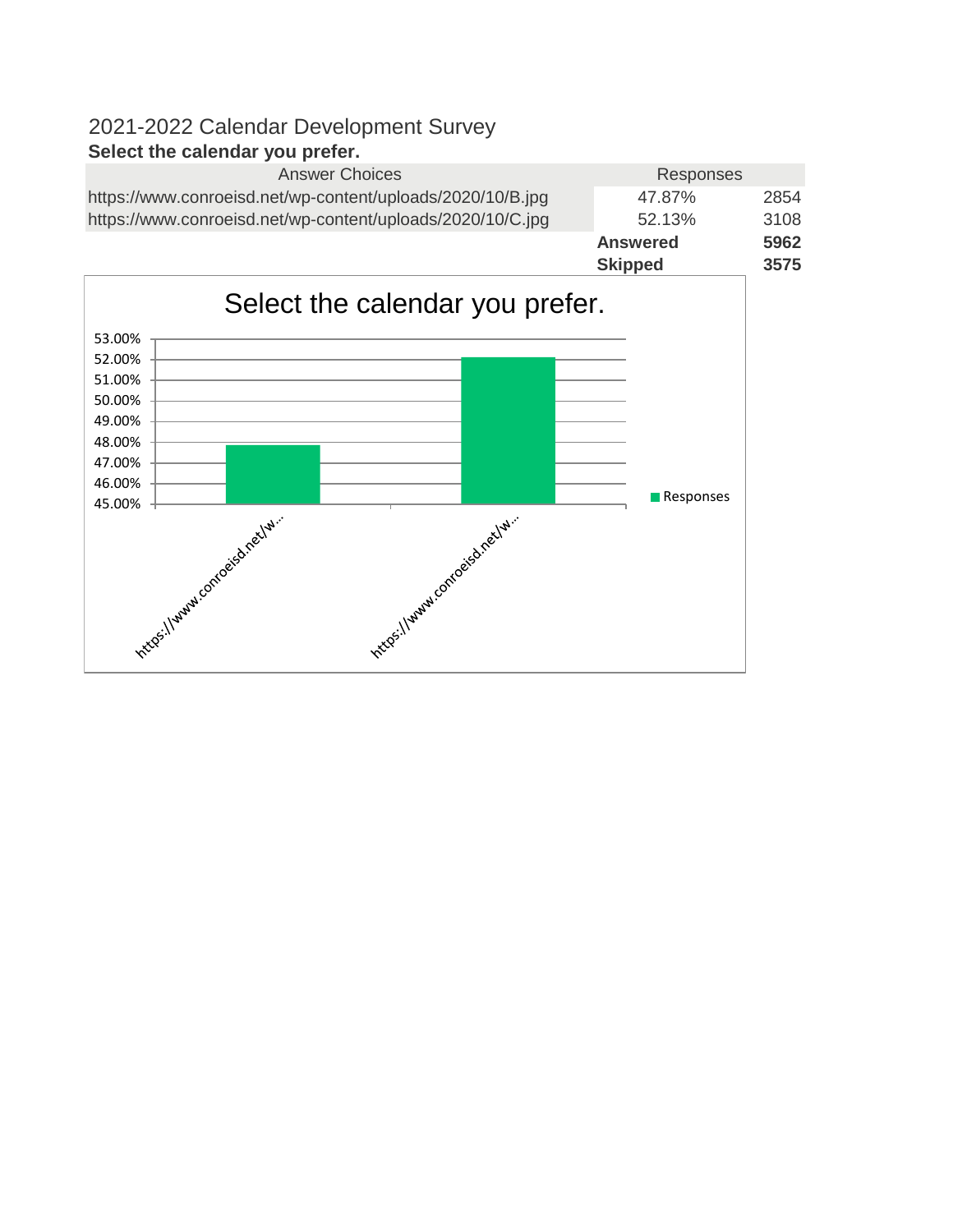|                                                            | <b>Skipped</b>  | 3575 |
|------------------------------------------------------------|-----------------|------|
|                                                            | <b>Answered</b> | 5962 |
| https://www.conroeisd.net/wp-content/uploads/2020/10/C.jpg | 52.13%          | 3108 |
| https://www.conroeisd.net/wp-content/uploads/2020/10/B.jpg | 47.87%          | 2854 |
| <b>Answer Choices</b>                                      | Responses       |      |
|                                                            |                 |      |

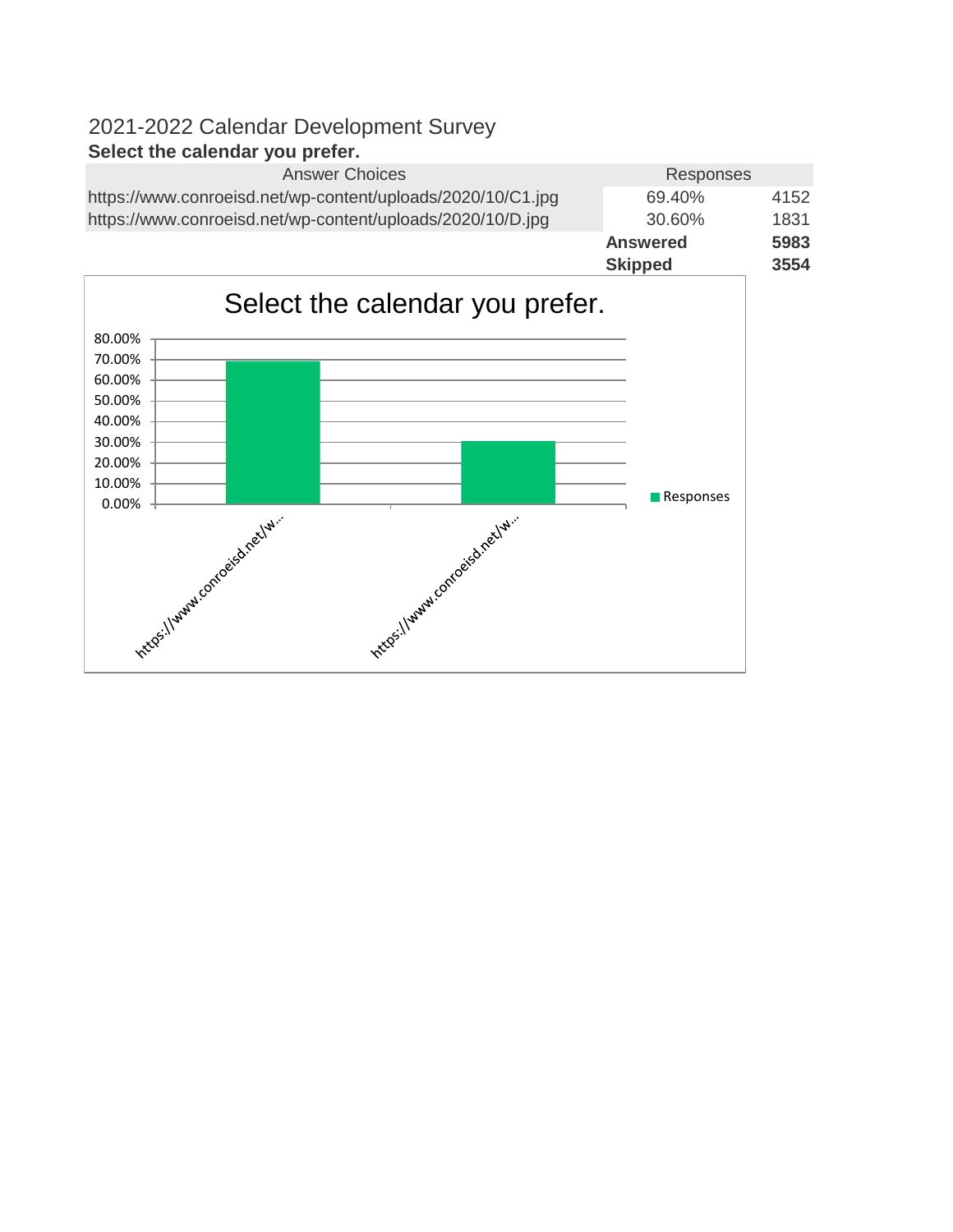| <b>Answer Choices</b>                                       | Responses       |      |
|-------------------------------------------------------------|-----------------|------|
| https://www.conroeisd.net/wp-content/uploads/2020/10/C1.jpg | 69.40%          | 4152 |
| https://www.conroeisd.net/wp-content/uploads/2020/10/D.jpg  | 30.60%          | 1831 |
|                                                             | <b>Answered</b> | 5983 |
|                                                             | <b>Skipped</b>  | 3554 |